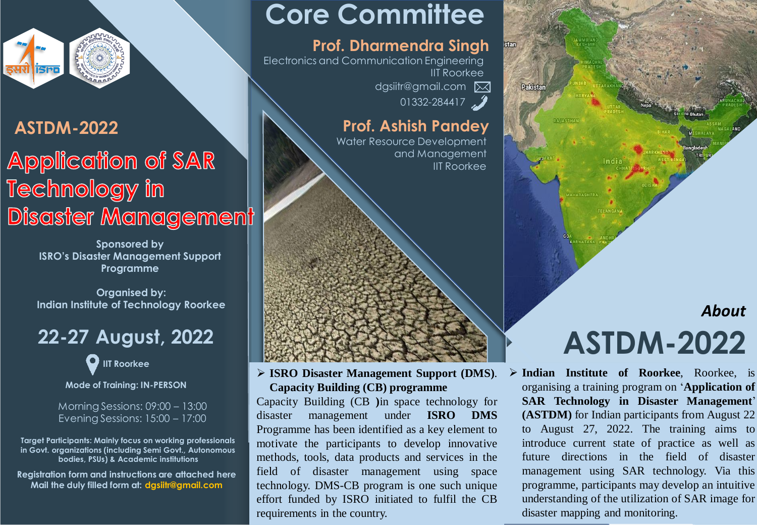

### **ASTDM-2022**

## **Application of SAR Technology in** Disaster Management

**Sponsored by ISRO's Disaster Management Support Programme**

**Organised by: Indian Institute of Technology Roorkee**

## **22-27 August, 2022**

**IIT Roorkee**

**Mode of Training: IN-PERSON**

Morning Sessions: 09:00 – 13:00 Evening Sessions: 15:00 – 17:00

**Target Participants: Mainly focus on working professionals in Govt. organizations (including Semi Govt., Autonomous bodies, PSUs) & Academic institutions**

**Registration form and instructions are attached here Mail the duly filled form at: dgsiitr@gmail.com**

# **Core Committee**

### **Prof. Dharmendra Singh**

dgsiitr@gmail.com Electronics and Communication Engineering IIT Roorkee

 $01332 - 284417$ 

### **Prof. Ashish Pandey**

Water Resource Development and Management **IIT Roorkee** 

#### **ISRO Disaster Management Support (DMS)**. **Capacity Building (CB) programme**

Capacity Building (CB **)**in space technology for disaster management under **ISRO DMS** Programme has been identified as a key element to motivate the participants to develop innovative methods, tools, data products and services in the field of disaster management using space technology. DMS-CB program is one such unique effort funded by ISRO initiated to fulfil the CB requirements in the country.



# **ASTDM-2022** *About*

 **Indian Institute of Roorkee**, Roorkee, is organising a training program on '**Application of SAR Technology in Disaster Management**' **(ASTDM)** for Indian participants from August 22 to August 27, 2022. The training aims to introduce current state of practice as well as future directions in the field of disaster management using SAR technology. Via this programme, participants may develop an intuitive understanding of the utilization of SAR image for disaster mapping and monitoring.